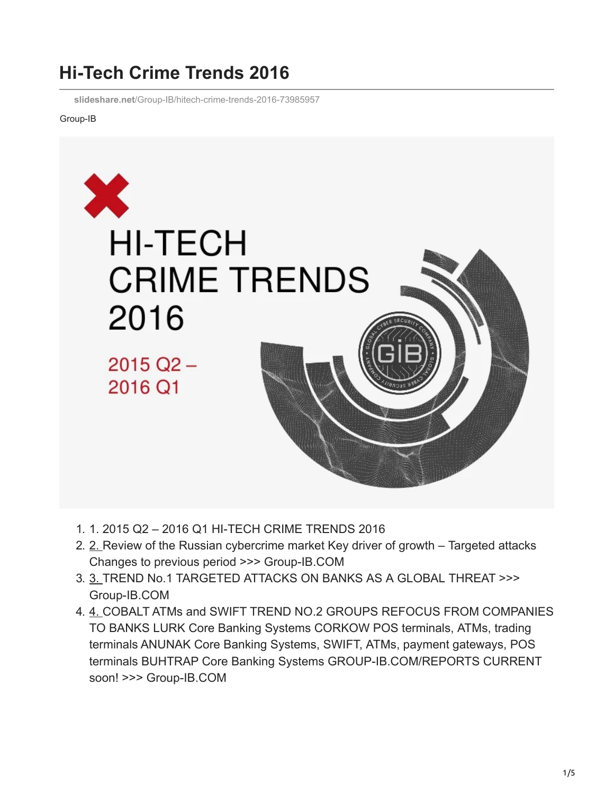## **Hi-Tech Crime Trends 2016**

**slideshare.net**[/Group-IB/hitech-crime-trends-2016-73985957](https://www.slideshare.net/Group-IB/hitech-crime-trends-2016-73985957)

## Group-IB



- 1. 1. 2015 Q2 2016 Q1 HI-TECH CRIME TRENDS 2016
- 2. [2.](https://image.slidesharecdn.com/gib-en-170330162103/95/hitech-crime-trends-2016-2-638.jpg?cb=1495218063) Review of the Russian cybercrime market Key driver of growth Targeted attacks Changes to previous period >>> Group-IB.COM
- 3. [3.](https://image.slidesharecdn.com/gib-en-170330162103/95/hitech-crime-trends-2016-3-638.jpg?cb=1495218063) TREND No.1 TARGETED ATTACKS ON BANKS AS A GLOBAL THREAT >>> Group-IB.COM
- 4. [4.](https://image.slidesharecdn.com/gib-en-170330162103/95/hitech-crime-trends-2016-4-638.jpg?cb=1495218063) COBALT ATMs and SWIFT TREND NO.2 GROUPS REFOCUS FROM COMPANIES TO BANKS LURK Core Banking Systems CORKOW POS terminals, ATMs, trading terminals ANUNAK Core Banking Systems, SWIFT, ATMs, payment gateways, POS terminals BUHTRAP Core Banking Systems GROUP-IB.COM/REPORTS CURRENT soon! >>> Group-IB.COM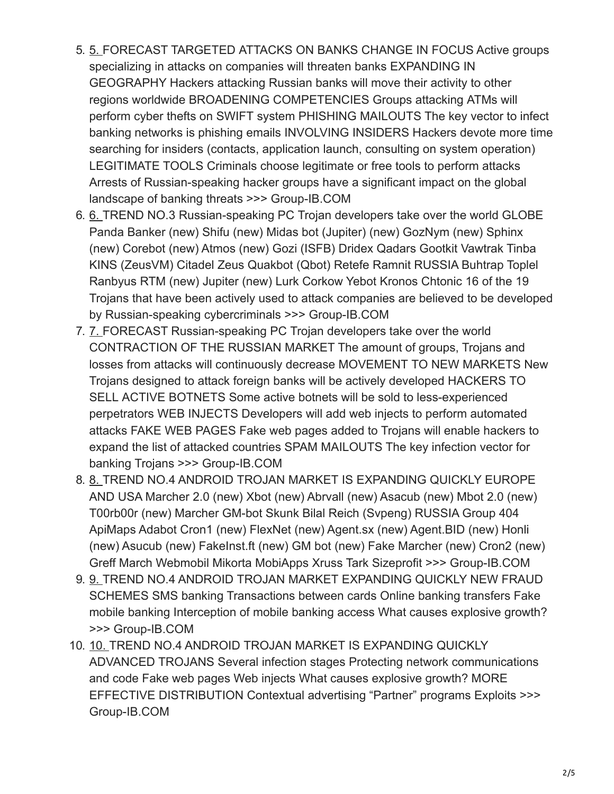- 5. [5.](https://image.slidesharecdn.com/gib-en-170330162103/95/hitech-crime-trends-2016-5-638.jpg?cb=1495218063) FORECAST TARGETED ATTACKS ON BANKS CHANGE IN FOCUS Active groups specializing in attacks on companies will threaten banks EXPANDING IN GEOGRAPHY Hackers attacking Russian banks will move their activity to other regions worldwide BROADENING COMPETENCIES Groups attacking ATMs will perform cyber thefts on SWIFT system PHISHING MAILOUTS The key vector to infect banking networks is phishing emails INVOLVING INSIDERS Hackers devote more time searching for insiders (contacts, application launch, consulting on system operation) LEGITIMATE TOOLS Criminals choose legitimate or free tools to perform attacks Arrests of Russian-speaking hacker groups have a significant impact on the global landscape of banking threats >>> Group-IB.COM
- 6. [6.](https://image.slidesharecdn.com/gib-en-170330162103/95/hitech-crime-trends-2016-6-638.jpg?cb=1495218063) TREND NO.3 Russian-speaking PC Trojan developers take over the world GLOBE Panda Banker (new) Shifu (new) Midas bot (Jupiter) (new) GozNym (new) Sphinx (new) Corebot (new) Atmos (new) Gozi (ISFB) Dridex Qadars Gootkit Vawtrak Tinba KINS (ZeusVM) Citadel Zeus Quakbot (Qbot) Retefe Ramnit RUSSIA Buhtrap Toplel Ranbyus RTM (new) Jupiter (new) Lurk Corkow Yebot Kronos Chtonic 16 of the 19 Trojans that have been actively used to attack companies are believed to be developed by Russian-speaking cybercriminals >>> Group-IB.COM
- 7. [7.](https://image.slidesharecdn.com/gib-en-170330162103/95/hitech-crime-trends-2016-7-638.jpg?cb=1495218063) FORECAST Russian-speaking PC Trojan developers take over the world CONTRACTION OF THE RUSSIAN MARKET The amount of groups, Trojans and losses from attacks will continuously decrease MOVEMENT TO NEW MARKETS New Trojans designed to attack foreign banks will be actively developed HACKERS TO SELL ACTIVE BOTNETS Some active botnets will be sold to less-experienced perpetrators WEB INJECTS Developers will add web injects to perform automated attacks FAKE WEB PAGES Fake web pages added to Trojans will enable hackers to expand the list of attacked countries SPAM MAILOUTS The key infection vector for banking Trojans >>> Group-IB.COM
- 8. [8.](https://image.slidesharecdn.com/gib-en-170330162103/95/hitech-crime-trends-2016-8-638.jpg?cb=1495218063) TREND NO.4 ANDROID TROJAN MARKET IS EXPANDING QUICKLY EUROPE AND USA Marcher 2.0 (new) Xbot (new) Abrvall (new) Asacub (new) Mbot 2.0 (new) T00rb00r (new) Marcher GM-bot Skunk Bilal Reich (Svpeng) RUSSIA Group 404 ApiMaps Adabot Cron1 (new) FlexNet (new) Agent.sx (new) Agent.BID (new) Honli (new) Asucub (new) FakeInst.ft (new) GM bot (new) Fake Marcher (new) Cron2 (new) Greff March Webmobil Mikorta MobiApps Xruss Tark Sizeprofit >>> Group-IB.COM
- 9. [9.](https://image.slidesharecdn.com/gib-en-170330162103/95/hitech-crime-trends-2016-9-638.jpg?cb=1495218063) TREND NO.4 ANDROID TROJAN MARKET EXPANDING QUICKLY NEW FRAUD SCHEMES SMS banking Transactions between cards Online banking transfers Fake mobile banking Interception of mobile banking access What causes explosive growth? >>> Group-IB.COM
- 10. [10.](https://image.slidesharecdn.com/gib-en-170330162103/95/hitech-crime-trends-2016-10-638.jpg?cb=1495218063) TREND NO.4 ANDROID TROJAN MARKET IS EXPANDING QUICKLY ADVANCED TROJANS Several infection stages Protecting network communications and code Fake web pages Web injects What causes explosive growth? MORE EFFECTIVE DISTRIBUTION Contextual advertising "Partner" programs Exploits >>> Group-IB.COM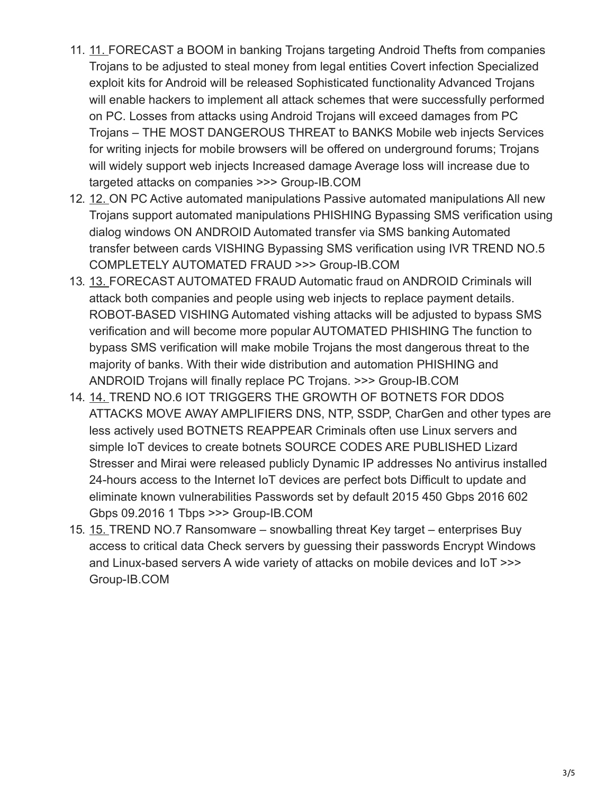- 11. [11.](https://image.slidesharecdn.com/gib-en-170330162103/95/hitech-crime-trends-2016-11-638.jpg?cb=1495218063) FORECAST a BOOM in banking Trojans targeting Android Thefts from companies Trojans to be adjusted to steal money from legal entities Covert infection Specialized exploit kits for Android will be released Sophisticated functionality Advanced Trojans will enable hackers to implement all attack schemes that were successfully performed on PC. Losses from attacks using Android Trojans will exceed damages from PC Trojans – THE MOST DANGEROUS THREAT to BANKS Mobile web injects Services for writing injects for mobile browsers will be offered on underground forums; Trojans will widely support web injects Increased damage Average loss will increase due to targeted attacks on companies >>> Group-IB.COM
- 12. [12.](https://image.slidesharecdn.com/gib-en-170330162103/95/hitech-crime-trends-2016-12-638.jpg?cb=1495218063) ON PC Active automated manipulations Passive automated manipulations All new Trojans support automated manipulations PHISHING Bypassing SMS verification using dialog windows ON ANDROID Automated transfer via SMS banking Automated transfer between cards VISHING Bypassing SMS verification using IVR TREND NO.5 COMPLETELY AUTOMATED FRAUD >>> Group-IB.COM
- 13. [13.](https://image.slidesharecdn.com/gib-en-170330162103/95/hitech-crime-trends-2016-13-638.jpg?cb=1495218063) FORECAST AUTOMATED FRAUD Automatic fraud on ANDROID Criminals will attack both companies and people using web injects to replace payment details. ROBOT-BASED VISHING Automated vishing attacks will be adjusted to bypass SMS verification and will become more popular AUTOMATED PHISHING The function to bypass SMS verification will make mobile Trojans the most dangerous threat to the majority of banks. With their wide distribution and automation PHISHING and ANDROID Trojans will finally replace PC Trojans. >>> Group-IB.COM
- 14. [14.](https://image.slidesharecdn.com/gib-en-170330162103/95/hitech-crime-trends-2016-14-638.jpg?cb=1495218063) TREND NO.6 IOT TRIGGERS THE GROWTH OF BOTNETS FOR DDOS ATTACKS MOVE AWAY AMPLIFIERS DNS, NTP, SSDP, CharGen and other types are less actively used BOTNETS REAPPEAR Criminals often use Linux servers and simple IoT devices to create botnets SOURCE CODES ARE PUBLISHED Lizard Stresser and Mirai were released publicly Dynamic IP addresses No antivirus installed 24-hours access to the Internet IoT devices are perfect bots Difficult to update and eliminate known vulnerabilities Passwords set by default 2015 450 Gbps 2016 602 Gbps 09.2016 1 Tbps >>> Group-IB.COM
- 15. [15.](https://image.slidesharecdn.com/gib-en-170330162103/95/hitech-crime-trends-2016-15-638.jpg?cb=1495218063) TREND NO.7 Ransomware snowballing threat Key target enterprises Buy access to critical data Check servers by guessing their passwords Encrypt Windows and Linux-based servers A wide variety of attacks on mobile devices and IoT >>> Group-IB.COM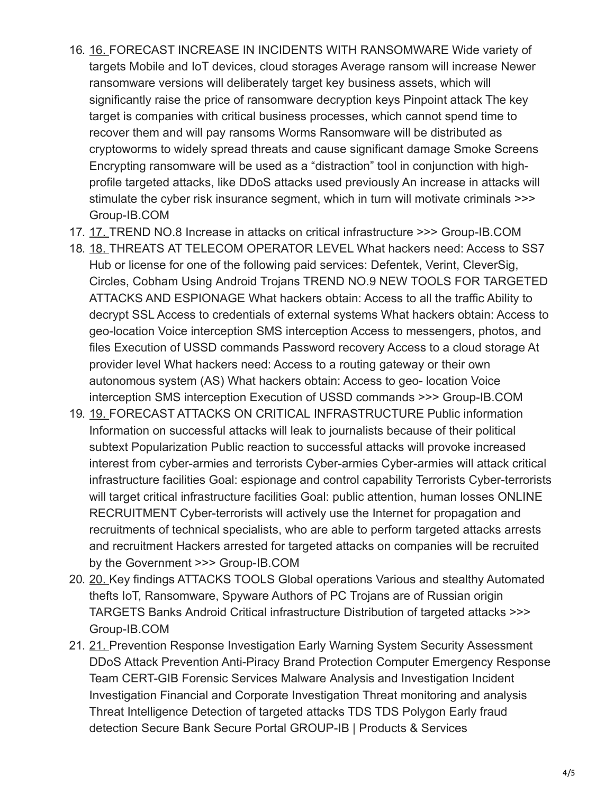- 16. [16.](https://image.slidesharecdn.com/gib-en-170330162103/95/hitech-crime-trends-2016-16-638.jpg?cb=1495218063) FORECAST INCREASE IN INCIDENTS WITH RANSOMWARE Wide variety of targets Mobile and IoT devices, cloud storages Average ransom will increase Newer ransomware versions will deliberately target key business assets, which will significantly raise the price of ransomware decryption keys Pinpoint attack The key target is companies with critical business processes, which cannot spend time to recover them and will pay ransoms Worms Ransomware will be distributed as cryptoworms to widely spread threats and cause significant damage Smoke Screens Encrypting ransomware will be used as a "distraction" tool in conjunction with highprofile targeted attacks, like DDoS attacks used previously An increase in attacks will stimulate the cyber risk insurance segment, which in turn will motivate criminals >>> Group-IB.COM
- 17. [17.](https://image.slidesharecdn.com/gib-en-170330162103/95/hitech-crime-trends-2016-17-638.jpg?cb=1495218063) TREND NO.8 Increase in attacks on critical infrastructure >>> Group-IB.COM
- 18. [18.](https://image.slidesharecdn.com/gib-en-170330162103/95/hitech-crime-trends-2016-18-638.jpg?cb=1495218063) THREATS AT TELECOM OPERATOR LEVEL What hackers need: Access to SS7 Hub or license for one of the following paid services: Defentek, Verint, CleverSig, Circles, Cobham Using Android Trojans TREND NO.9 NEW TOOLS FOR TARGETED ATTACKS AND ESPIONAGE What hackers obtain: Access to all the traffic Ability to decrypt SSL Access to credentials of external systems What hackers obtain: Access to geo-location Voice interception SMS interception Access to messengers, photos, and files Execution of USSD commands Password recovery Access to a cloud storage At provider level What hackers need: Access to a routing gateway or their own autonomous system (AS) What hackers obtain: Access to geo- location Voice interception SMS interception Execution of USSD commands >>> Group-IB.COM
- 19. [19.](https://image.slidesharecdn.com/gib-en-170330162103/95/hitech-crime-trends-2016-19-638.jpg?cb=1495218063) FORECAST ATTACKS ON CRITICAL INFRASTRUCTURE Public information Information on successful attacks will leak to journalists because of their political subtext Popularization Public reaction to successful attacks will provoke increased interest from cyber-armies and terrorists Cyber-armies Cyber-armies will attack critical infrastructure facilities Goal: espionage and control capability Terrorists Cyber-terrorists will target critical infrastructure facilities Goal: public attention, human losses ONLINE RECRUITMENT Cyber-terrorists will actively use the Internet for propagation and recruitments of technical specialists, who are able to perform targeted attacks arrests and recruitment Hackers arrested for targeted attacks on companies will be recruited by the Government >>> Group-IB.COM
- 20. [20.](https://image.slidesharecdn.com/gib-en-170330162103/95/hitech-crime-trends-2016-20-638.jpg?cb=1495218063) Key findings ATTACKS TOOLS Global operations Various and stealthy Automated thefts IoT, Ransomware, Spyware Authors of PC Trojans are of Russian origin TARGETS Banks Android Critical infrastructure Distribution of targeted attacks >>> Group-IB.COM
- 21. [21.](https://image.slidesharecdn.com/gib-en-170330162103/95/hitech-crime-trends-2016-21-638.jpg?cb=1495218063) Prevention Response Investigation Early Warning System Security Assessment DDoS Аttack Prevention Anti-Piracy Brand Protection Computer Emergency Response Team CERT-GIB Forensic Services Malware Аnalysis and Investigation Incident Investigation Financial and Corporate Investigation Threat monitoring and analysis Threat Intelligence Detection of targeted attacks TDS TDS Polygon Early fraud detection Secure Bank Secure Portal GROUP-IB | Products & Services